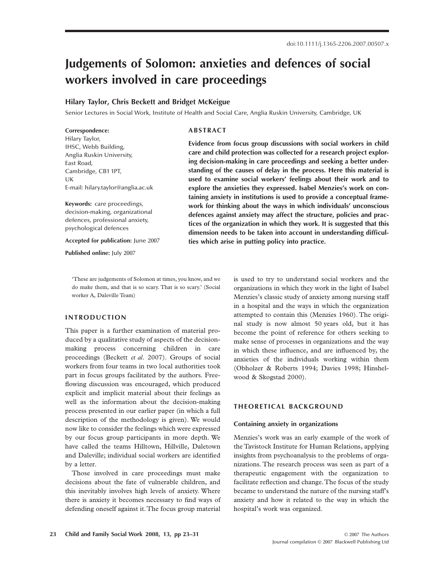# **Judgements of Solomon: anxieties and defences of social workers involved in care proceedings**

## **Hilary Taylor, Chris Beckett and Bridget McKeigue**

Senior Lectures in Social Work, Institute of Health and Social Care, Anglia Ruskin University, Cambridge, UK

#### **Correspondence:**

Hilary Taylor, IHSC, Webb Building, Anglia Ruskin University, East Road, Cambridge, CB1 1PT, UK E-mail: hilary[.taylor@anglia.ac.uk](mailto:taylor@anglia.ac.uk)

**Keywords:** care proceedings, decision-making, organizational defences, professional anxiety, psychological defences

**Accepted for publication:** June 2007

**Published online:** July 2007

# **ABSTRACT**

**Evidence from focus group discussions with social workers in child care and child protection was collected for a research project exploring decision-making in care proceedings and seeking a better understanding of the causes of delay in the process. Here this material is used to examine social workers' feelings about their work and to explore the anxieties they expressed. Isabel Menzies's work on containing anxiety in institutions is used to provide a conceptual framework for thinking about the ways in which individuals' unconscious defences against anxiety may affect the structure, policies and practices of the organization in which they work. It is suggested that this dimension needs to be taken into account in understanding difficulties which arise in putting policy into practice.**

'These are judgements of Solomon at times, you know, and we do make them, and that is so scary. That is so scary.' (Social worker A, Daleville Team)

# **INTRODUCTION**

This paper is a further examination of material produced by a qualitative study of aspects of the decisionmaking process concerning children in care proceedings (Beckett *et al*. 2007). Groups of social workers from four teams in two local authorities took part in focus groups facilitated by the authors. Freeflowing discussion was encouraged, which produced explicit and implicit material about their feelings as well as the information about the decision-making process presented in our earlier paper (in which a full description of the methodology is given). We would now like to consider the feelings which were expressed by our focus group participants in more depth. We have called the teams Hilltown, Hillville, Daletown and Daleville; individual social workers are identified by a letter.

Those involved in care proceedings must make decisions about the fate of vulnerable children, and this inevitably involves high levels of anxiety. Where there is anxiety it becomes necessary to find ways of defending oneself against it.The focus group material

is used to try to understand social workers and the organizations in which they work in the light of Isabel Menzies's classic study of anxiety among nursing staff in a hospital and the ways in which the organization attempted to contain this (Menzies 1960). The original study is now almost 50 years old, but it has become the point of reference for others seeking to make sense of processes in organizations and the way in which these influence, and are influenced by, the anxieties of the individuals working within them (Obholzer & Roberts 1994; Davies 1998; Hinshelwood & Skogstad 2000).

# **THEORETICAL BACKGROUND**

#### **Containing anxiety in organizations**

Menzies's work was an early example of the work of the Tavistock Institute for Human Relations, applying insights from psychoanalysis to the problems of organizations. The research process was seen as part of a therapeutic engagement with the organization to facilitate reflection and change.The focus of the study became to understand the nature of the nursing staff's anxiety and how it related to the way in which the hospital's work was organized.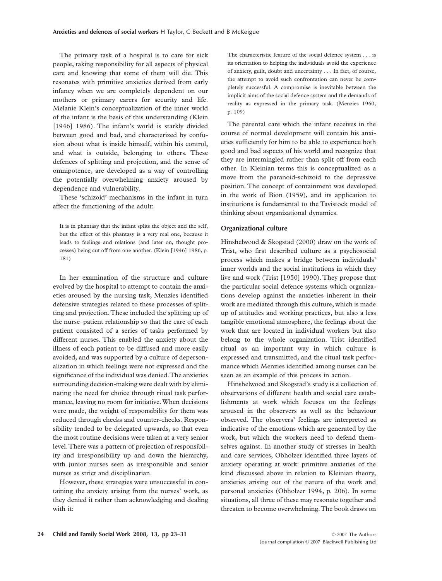The primary task of a hospital is to care for sick people, taking responsibility for all aspects of physical care and knowing that some of them will die. This resonates with primitive anxieties derived from early infancy when we are completely dependent on our mothers or primary carers for security and life. Melanie Klein's conceptualization of the inner world of the infant is the basis of this understanding (Klein [1946] 1986). The infant's world is starkly divided between good and bad, and characterized by confusion about what is inside himself, within his control, and what is outside, belonging to others. These defences of splitting and projection, and the sense of omnipotence, are developed as a way of controlling the potentially overwhelming anxiety aroused by dependence and vulnerability.

These 'schizoid' mechanisms in the infant in turn affect the functioning of the adult:

It is in phantasy that the infant splits the object and the self, but the effect of this phantasy is a very real one, because it leads to feelings and relations (and later on, thought processes) being cut off from one another. (Klein [1946] 1986, p. 181)

In her examination of the structure and culture evolved by the hospital to attempt to contain the anxieties aroused by the nursing task, Menzies identified defensive strategies related to these processes of splitting and projection.These included the splitting up of the nurse–patient relationship so that the care of each patient consisted of a series of tasks performed by different nurses. This enabled the anxiety about the illness of each patient to be diffused and more easily avoided, and was supported by a culture of depersonalization in which feelings were not expressed and the significance of the individual was denied.The anxieties surrounding decision-making were dealt with by eliminating the need for choice through ritual task performance, leaving no room for initiative.When decisions were made, the weight of responsibility for them was reduced through checks and counter-checks. Responsibility tended to be delegated upwards, so that even the most routine decisions were taken at a very senior level.There was a pattern of projection of responsibility and irresponsibility up and down the hierarchy, with junior nurses seen as irresponsible and senior nurses as strict and disciplinarian.

However, these strategies were unsuccessful in containing the anxiety arising from the nurses' work, as they denied it rather than acknowledging and dealing with it:

The characteristic feature of the social defence system . . . is its orientation to helping the individuals avoid the experience of anxiety, guilt, doubt and uncertainty . . . In fact, of course, the attempt to avoid such confrontation can never be completely successful. A compromise is inevitable between the implicit aims of the social defence system and the demands of reality as expressed in the primary task. (Menzies 1960, p. 109)

The parental care which the infant receives in the course of normal development will contain his anxieties sufficiently for him to be able to experience both good and bad aspects of his world and recognize that they are intermingled rather than split off from each other. In Kleinian terms this is conceptualized as a move from the paranoid-schizoid to the depressive position. The concept of containment was developed in the work of Bion (1959), and its application to institutions is fundamental to the Tavistock model of thinking about organizational dynamics.

#### **Organizational culture**

Hinshelwood & Skogstad (2000) draw on the work of Trist, who first described culture as a psychosocial process which makes a bridge between individuals' inner worlds and the social institutions in which they live and work (Trist [1950] 1990). They propose that the particular social defence systems which organizations develop against the anxieties inherent in their work are mediated through this culture, which is made up of attitudes and working practices, but also a less tangible emotional atmosphere, the feelings about the work that are located in individual workers but also belong to the whole organization. Trist identified ritual as an important way in which culture is expressed and transmitted, and the ritual task performance which Menzies identified among nurses can be seen as an example of this process in action.

Hinshelwood and Skogstad's study is a collection of observations of different health and social care establishments at work which focuses on the feelings aroused in the observers as well as the behaviour observed. The observers' feelings are interpreted as indicative of the emotions which are generated by the work, but which the workers need to defend themselves against. In another study of stresses in health and care services, Obholzer identified three layers of anxiety operating at work: primitive anxieties of the kind discussed above in relation to Kleinian theory, anxieties arising out of the nature of the work and personal anxieties (Obholzer 1994, p. 206). In some situations, all three of these may resonate together and threaten to become overwhelming.The book draws on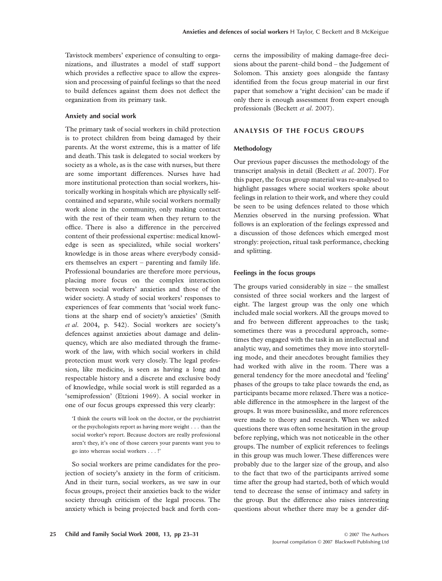Tavistock members' experience of consulting to organizations, and illustrates a model of staff support which provides a reflective space to allow the expression and processing of painful feelings so that the need to build defences against them does not deflect the organization from its primary task.

#### **Anxiety and social work**

The primary task of social workers in child protection is to protect children from being damaged by their parents. At the worst extreme, this is a matter of life and death. This task is delegated to social workers by society as a whole, as is the case with nurses, but there are some important differences. Nurses have had more institutional protection than social workers, historically working in hospitals which are physically selfcontained and separate, while social workers normally work alone in the community, only making contact with the rest of their team when they return to the office. There is also a difference in the perceived content of their professional expertise: medical knowledge is seen as specialized, while social workers' knowledge is in those areas where everybody considers themselves an expert – parenting and family life. Professional boundaries are therefore more pervious, placing more focus on the complex interaction between social workers' anxieties and those of the wider society. A study of social workers' responses to experiences of fear comments that 'social work functions at the sharp end of society's anxieties' (Smith *et al*. 2004, p. 542). Social workers are society's defences against anxieties about damage and delinquency, which are also mediated through the framework of the law, with which social workers in child protection must work very closely. The legal profession, like medicine, is seen as having a long and respectable history and a discrete and exclusive body of knowledge, while social work is still regarded as a 'semiprofession' (Etzioni 1969). A social worker in one of our focus groups expressed this very clearly:

So social workers are prime candidates for the projection of society's anxiety in the form of criticism. And in their turn, social workers, as we saw in our focus groups, project their anxieties back to the wider society through criticism of the legal process. The anxiety which is being projected back and forth con-

cerns the impossibility of making damage-free decisions about the parent–child bond – the Judgement of Solomon. This anxiety goes alongside the fantasy identified from the focus group material in our first paper that somehow a 'right decision' can be made if only there is enough assessment from expert enough professionals (Beckett *et al*. 2007).

# **ANALYSIS OF THE FOCUS GROUPS**

#### **Methodology**

Our previous paper discusses the methodology of the transcript analysis in detail (Beckett *et al*. 2007). For this paper, the focus group material was re-analysed to highlight passages where social workers spoke about feelings in relation to their work, and where they could be seen to be using defences related to those which Menzies observed in the nursing profession. What follows is an exploration of the feelings expressed and a discussion of those defences which emerged most strongly: projection, ritual task performance, checking and splitting.

#### **Feelings in the focus groups**

The groups varied considerably in size – the smallest consisted of three social workers and the largest of eight. The largest group was the only one which included male social workers. All the groups moved to and fro between different approaches to the task; sometimes there was a procedural approach, sometimes they engaged with the task in an intellectual and analytic way, and sometimes they move into storytelling mode, and their anecdotes brought families they had worked with alive in the room. There was a general tendency for the more anecdotal and 'feeling' phases of the groups to take place towards the end, as participants became more relaxed.There was a noticeable difference in the atmosphere in the largest of the groups. It was more businesslike, and more references were made to theory and research. When we asked questions there was often some hesitation in the group before replying, which was not noticeable in the other groups. The number of explicit references to feelings in this group was much lower. These differences were probably due to the larger size of the group, and also to the fact that two of the participants arrived some time after the group had started, both of which would tend to decrease the sense of intimacy and safety in the group. But the difference also raises interesting questions about whether there may be a gender dif-

<sup>&#</sup>x27;I think the courts will look on the doctor, or the psychiatrist or the psychologists report as having more weight... than the social worker's report. Because doctors are really professional aren't they, it's one of those careers your parents want you to go into whereas social workers . . . !'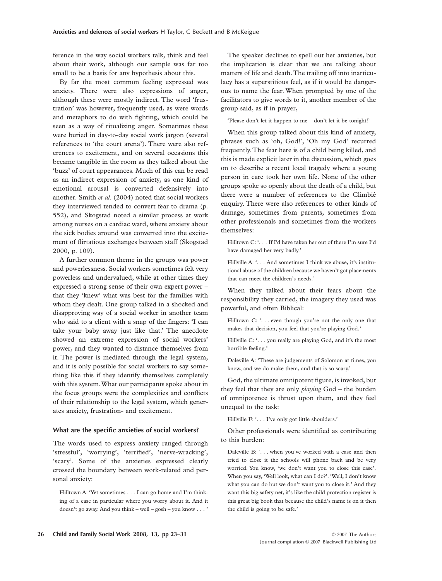ference in the way social workers talk, think and feel about their work, although our sample was far too small to be a basis for any hypothesis about this.

By far the most common feeling expressed was anxiety. There were also expressions of anger, although these were mostly indirect. The word 'frustration' was however, frequently used, as were words and metaphors to do with fighting, which could be seen as a way of ritualizing anger. Sometimes these were buried in day-to-day social work jargon (several references to 'the court arena'). There were also references to excitement, and on several occasions this became tangible in the room as they talked about the 'buzz' of court appearances. Much of this can be read as an indirect expression of anxiety, as one kind of emotional arousal is converted defensively into another. Smith *et al*. (2004) noted that social workers they interviewed tended to convert fear to drama (p. 552), and Skogstad noted a similar process at work among nurses on a cardiac ward, where anxiety about the sick bodies around was converted into the excitement of flirtatious exchanges between staff (Skogstad 2000, p. 109).

A further common theme in the groups was power and powerlessness. Social workers sometimes felt very powerless and undervalued, while at other times they expressed a strong sense of their own expert power – that they 'knew' what was best for the families with whom they dealt. One group talked in a shocked and disapproving way of a social worker in another team who said to a client with a snap of the fingers: 'I can take your baby away just like that.' The anecdote showed an extreme expression of social workers' power, and they wanted to distance themselves from it. The power is mediated through the legal system, and it is only possible for social workers to say something like this if they identify themselves completely with this system.What our participants spoke about in the focus groups were the complexities and conflicts of their relationship to the legal system, which generates anxiety, frustration- and excitement.

#### **What are the specific anxieties of social workers?**

The words used to express anxiety ranged through 'stressful', 'worrying', 'terrified', 'nerve-wracking', 'scary'. Some of the anxieties expressed clearly crossed the boundary between work-related and personal anxiety:

Hilltown A: 'Yet sometimes . . . I can go home and I'm thinking of a case in particular where you worry about it. And it doesn't go away. And you think – well – gosh – you know...'

The speaker declines to spell out her anxieties, but the implication is clear that we are talking about matters of life and death.The trailing off into inarticulacy has a superstitious feel, as if it would be dangerous to name the fear. When prompted by one of the facilitators to give words to it, another member of the group said, as if in prayer,

'Please don't let it happen to me – don't let it be tonight!'

When this group talked about this kind of anxiety, phrases such as 'oh, God!', 'Oh my God' recurred frequently.The fear here is of a child being killed, and this is made explicit later in the discussion, which goes on to describe a recent local tragedy where a young person in care took her own life. None of the other groups spoke so openly about the death of a child, but there were a number of references to the Climbié enquiry. There were also references to other kinds of damage, sometimes from parents, sometimes from other professionals and sometimes from the workers themselves:

Hilltown C: '. . . If I'd have taken her out of there I'm sure I'd have damaged her very badly.'

Hillville A: '. . . And sometimes I think we abuse, it's institutional abuse of the children because we haven't got placements that can meet the children's needs.'

When they talked about their fears about the responsibility they carried, the imagery they used was powerful, and often Biblical:

Hilltown C: '. . . even though you're not the only one that makes that decision, you feel that you're playing God.'

Hillville C: '. . . you really are playing God, and it's the most horrible feeling.'

Daleville A: 'These are judgements of Solomon at times, you know, and we do make them, and that is so scary.'

God, the ultimate omnipotent figure, is invoked, but they feel that they are only *playing* God – the burden of omnipotence is thrust upon them, and they feel unequal to the task:

Hillville F: '. . . I've only got little shoulders.'

Other professionals were identified as contributing to this burden:

Daleville B: '... when you've worked with a case and then tried to close it the schools will phone back and be very worried. You know, 'we don't want you to close this case'. When you say, 'Well look, what can I do?'. 'Well, I don't know what you can do but we don't want you to close it.' And they want this big safety net, it's like the child protection register is this great big book that because the child's name is on it then the child is going to be safe.'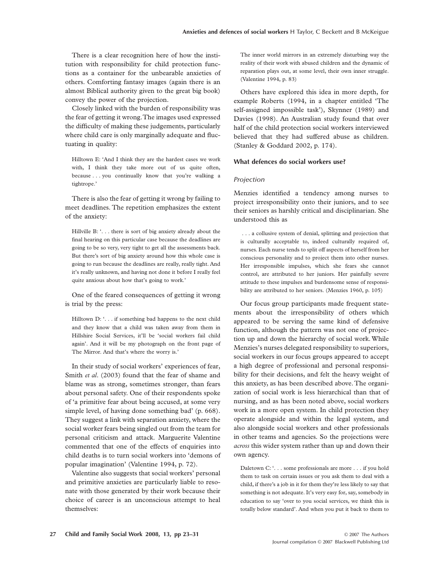There is a clear recognition here of how the institution with responsibility for child protection functions as a container for the unbearable anxieties of others. Comforting fantasy images (again there is an almost Biblical authority given to the great big book) convey the power of the projection.

Closely linked with the burden of responsibility was the fear of getting it wrong.The images used expressed the difficulty of making these judgements, particularly where child care is only marginally adequate and fluctuating in quality:

Hilltown E: 'And I think they are the hardest cases we work with, I think they take more out of us quite often, because . . . you continually know that you're walking a tightrope.'

There is also the fear of getting it wrong by failing to meet deadlines. The repetition emphasizes the extent of the anxiety:

Hillville B: '. . . there is sort of big anxiety already about the final hearing on this particular case because the deadlines are going to be so very, very tight to get all the assessments back. But there's sort of big anxiety around how this whole case is going to run because the deadlines are really, really tight. And it's really unknown, and having not done it before I really feel quite anxious about how that's going to work.'

One of the feared consequences of getting it wrong is trial by the press:

Hilltown D: '. . . if something bad happens to the next child and they know that a child was taken away from them in Hillshire Social Services, it'll be 'social workers fail child again'. And it will be my photograph on the front page of The Mirror. And that's where the worry is.'

In their study of social workers' experiences of fear, Smith *et al*. (2003) found that the fear of shame and blame was as strong, sometimes stronger, than fears about personal safety. One of their respondents spoke of 'a primitive fear about being accused, at some very simple level, of having done something bad' (p. 668). They suggest a link with separation anxiety, where the social worker fears being singled out from the team for personal criticism and attack. Marguerite Valentine commented that one of the effects of enquiries into child deaths is to turn social workers into 'demons of popular imagination' (Valentine 1994, p. 72).

Valentine also suggests that social workers' personal and primitive anxieties are particularly liable to resonate with those generated by their work because their choice of career is an unconscious attempt to heal themselves:

The inner world mirrors in an extremely disturbing way the reality of their work with abused children and the dynamic of reparation plays out, at some level, their own inner struggle. (Valentine 1994, p. 83)

Others have explored this idea in more depth, for example Roberts (1994, in a chapter entitled 'The self-assigned impossible task'), Skynner (1989) and Davies (1998). An Australian study found that over half of the child protection social workers interviewed believed that they had suffered abuse as children. (Stanley & Goddard 2002, p. 174).

#### **What defences do social workers use?**

#### *Projection*

Menzies identified a tendency among nurses to project irresponsibility onto their juniors, and to see their seniors as harshly critical and disciplinarian. She understood this as

...a collusive system of denial, splitting and projection that is culturally acceptable to, indeed culturally required of, nurses. Each nurse tends to split off aspects of herself from her conscious personality and to project them into other nurses. Her irresponsible impulses, which she fears she cannot control, are attributed to her juniors. Her painfully severe attitude to these impulses and burdensome sense of responsibility are attributed to her seniors. (Menzies 1960, p. 105)

Our focus group participants made frequent statements about the irresponsibility of others which appeared to be serving the same kind of defensive function, although the pattern was not one of projection up and down the hierarchy of social work. While Menzies's nurses delegated responsibility to superiors, social workers in our focus groups appeared to accept a high degree of professional and personal responsibility for their decisions, and felt the heavy weight of this anxiety, as has been described above.The organization of social work is less hierarchical than that of nursing, and as has been noted above, social workers work in a more open system. In child protection they operate alongside and within the legal system, and also alongside social workers and other professionals in other teams and agencies. So the projections were *across* this wider system rather than up and down their own agency.

Daletown C: '... some professionals are more ... if you hold them to task on certain issues or you ask them to deal with a child, if there's a job in it for them they're less likely to say that something is not adequate. It's very easy for, say, somebody in education to say 'over to you social services, we think this is totally below standard'. And when you put it back to them to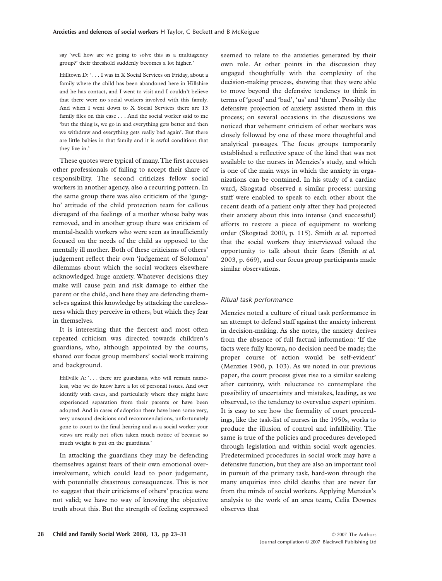say 'well how are we going to solve this as a multiagency group?' their threshold suddenly becomes a lot higher.'

Hilltown D: '. . . I was in X Social Services on Friday, about a family where the child has been abandoned here in Hillshire and he has contact, and I went to visit and I couldn't believe that there were no social workers involved with this family. And when I went down to X Social Services there are 13 family files on this case . . . And the social worker said to me 'but the thing is, we go in and everything gets better and then we withdraw and everything gets really bad again'. But there are little babies in that family and it is awful conditions that they live in.'

These quotes were typical of many.The first accuses other professionals of failing to accept their share of responsibility. The second criticizes fellow social workers in another agency, also a recurring pattern. In the same group there was also criticism of the 'gungho' attitude of the child protection team for callous disregard of the feelings of a mother whose baby was removed, and in another group there was criticism of mental-health workers who were seen as insufficiently focused on the needs of the child as opposed to the mentally ill mother. Both of these criticisms of others' judgement reflect their own 'judgement of Solomon' dilemmas about which the social workers elsewhere acknowledged huge anxiety. Whatever decisions they make will cause pain and risk damage to either the parent or the child, and here they are defending themselves against this knowledge by attacking the carelessness which they perceive in others, but which they fear in themselves.

It is interesting that the fiercest and most often repeated criticism was directed towards children's guardians, who, although appointed by the courts, shared our focus group members' social work training and background.

Hillville A: '... there are guardians, who will remain nameless, who we do know have a lot of personal issues. And over identify with cases, and particularly where they might have experienced separation from their parents or have been adopted. And in cases of adoption there have been some very, very unsound decisions and recommendations, unfortunately gone to court to the final hearing and as a social worker your views are really not often taken much notice of because so much weight is put on the guardians.'

In attacking the guardians they may be defending themselves against fears of their own emotional overinvolvement, which could lead to poor judgement, with potentially disastrous consequences. This is not to suggest that their criticisms of others' practice were not valid; we have no way of knowing the objective truth about this. But the strength of feeling expressed

seemed to relate to the anxieties generated by their own role. At other points in the discussion they engaged thoughtfully with the complexity of the decision-making process, showing that they were able to move beyond the defensive tendency to think in terms of 'good' and 'bad', 'us' and 'them'. Possibly the defensive projection of anxiety assisted them in this process; on several occasions in the discussions we noticed that vehement criticism of other workers was closely followed by one of these more thoughtful and analytical passages. The focus groups temporarily established a reflective space of the kind that was not available to the nurses in Menzies's study, and which is one of the main ways in which the anxiety in organizations can be contained. In his study of a cardiac ward, Skogstad observed a similar process: nursing staff were enabled to speak to each other about the recent death of a patient only after they had projected their anxiety about this into intense (and successful) efforts to restore a piece of equipment to working order (Skogstad 2000, p. 115). Smith *et al*. reported that the social workers they interviewed valued the opportunity to talk about their fears (Smith *et al.* 2003, p. 669), and our focus group participants made similar observations.

#### *Ritual task performance*

Menzies noted a culture of ritual task performance in an attempt to defend staff against the anxiety inherent in decision-making. As she notes, the anxiety derives from the absence of full factual information: 'If the facts were fully known, no decision need be made; the proper course of action would be self-evident' (Menzies 1960, p. 103). As we noted in our previous paper, the court process gives rise to a similar seeking after certainty, with reluctance to contemplate the possibility of uncertainty and mistakes, leading, as we observed, to the tendency to overvalue expert opinion. It is easy to see how the formality of court proceedings, like the task-list of nurses in the 1950s, works to produce the illusion of control and infallibility. The same is true of the policies and procedures developed through legislation and within social work agencies. Predetermined procedures in social work may have a defensive function, but they are also an important tool in pursuit of the primary task, hard-won through the many enquiries into child deaths that are never far from the minds of social workers. Applying Menzies's analysis to the work of an area team, Celia Downes observes that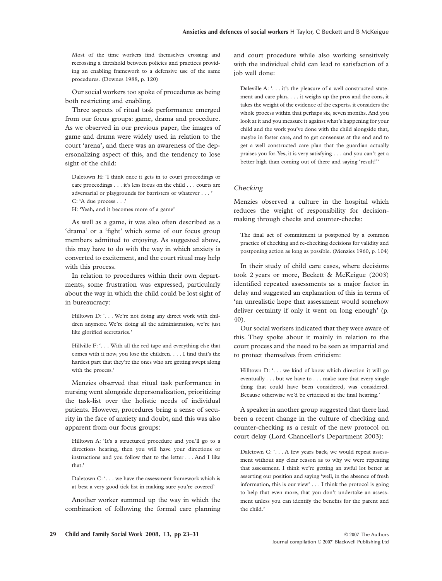Most of the time workers find themselves crossing and recrossing a threshold between policies and practices providing an enabling framework to a defensive use of the same procedures. (Downes 1988, p. 120)

Our social workers too spoke of procedures as being both restricting and enabling.

Three aspects of ritual task performance emerged from our focus groups: game, drama and procedure. As we observed in our previous paper, the images of game and drama were widely used in relation to the court 'arena', and there was an awareness of the depersonalizing aspect of this, and the tendency to lose sight of the child:

Daletown H: 'I think once it gets in to court proceedings or care proceedings . . . it's less focus on the child... courts are adversarial or playgrounds for barristers or whatever...' C: 'A due process . . .'

H: 'Yeah, and it becomes more of a game'

As well as a game, it was also often described as a 'drama' or a 'fight' which some of our focus group members admitted to enjoying. As suggested above, this may have to do with the way in which anxiety is converted to excitement, and the court ritual may help with this process.

In relation to procedures within their own departments, some frustration was expressed, particularly about the way in which the child could be lost sight of in bureaucracy:

Hilltown D: '... We're not doing any direct work with children anymore. We're doing all the administration, we're just like glorified secretaries.'

Hillville F: '... With all the red tape and everything else that comes with it now, you lose the children. . . . I find that's the hardest part that they're the ones who are getting swept along with the process.'

Menzies observed that ritual task performance in nursing went alongside depersonalization, prioritizing the task-list over the holistic needs of individual patients. However, procedures bring a sense of security in the face of anxiety and doubt, and this was also apparent from our focus groups:

Hilltown A: 'It's a structured procedure and you'll go to a directions hearing, then you will have your directions or instructions and you follow that to the letter . . . And I like that.'

Daletown C: '... we have the assessment framework which is at best a very good tick list in making sure you're covered'

Another worker summed up the way in which the combination of following the formal care planning

and court procedure while also working sensitively with the individual child can lead to satisfaction of a job well done:

Daleville A: '. . . it's the pleasure of a well constructed statement and care plan, . . . it weighs up the pros and the cons, it takes the weight of the evidence of the experts, it considers the whole process within that perhaps six, seven months. And you look at it and you measure it against what's happening for your child and the work you've done with the child alongside that, maybe in foster care, and to get consensus at the end and to get a well constructed care plan that the guardian actually praises you for.Yes, it is very satisfying . . . and you can't get a better high than coming out of there and saying 'result!''

### *Checking*

Menzies observed a culture in the hospital which reduces the weight of responsibility for decisionmaking through checks and counter-checks:

The final act of commitment is postponed by a common practice of checking and re-checking decisions for validity and postponing action as long as possible. (Menzies 1960, p. 104)

In their study of child care cases, where decisions took 2 years or more, Beckett & McKeigue (2003) identified repeated assessments as a major factor in delay and suggested an explanation of this in terms of 'an unrealistic hope that assessment would somehow deliver certainty if only it went on long enough' (p. 40).

Our social workers indicated that they were aware of this. They spoke about it mainly in relation to the court process and the need to be seen as impartial and to protect themselves from criticism:

Hilltown D: '... we kind of know which direction it will go eventually . . . but we have to . . . make sure that every single thing that could have been considered, was considered. Because otherwise we'd be criticized at the final hearing.'

A speaker in another group suggested that there had been a recent change in the culture of checking and counter-checking as a result of the new protocol on court delay (Lord Chancellor's Department 2003):

Daletown C: '... A few years back, we would repeat assessment without any clear reason as to why we were repeating that assessment. I think we're getting an awful lot better at asserting our position and saying 'well, in the absence of fresh information, this is our view'...I think the protocol is going to help that even more, that you don't undertake an assessment unless you can identify the benefits for the parent and the child.'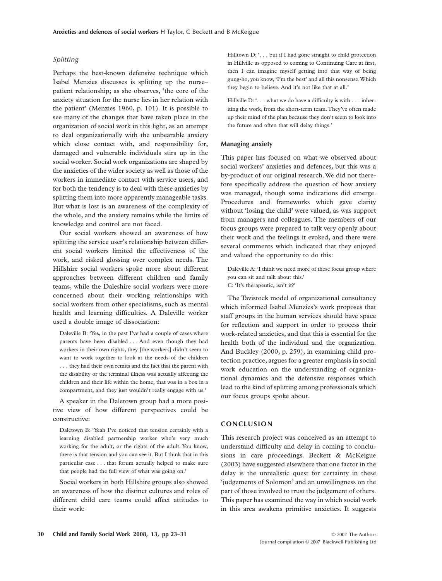# *Splitting*

Perhaps the best-known defensive technique which Isabel Menzies discusses is splitting up the nurse– patient relationship; as she observes, 'the core of the anxiety situation for the nurse lies in her relation with the patient' (Menzies 1960, p. 101). It is possible to see many of the changes that have taken place in the organization of social work in this light, as an attempt to deal organizationally with the unbearable anxiety which close contact with, and responsibility for, damaged and vulnerable individuals stirs up in the social worker. Social work organizations are shaped by the anxieties of the wider society as well as those of the workers in immediate contact with service users, and for both the tendency is to deal with these anxieties by splitting them into more apparently manageable tasks. But what is lost is an awareness of the complexity of the whole, and the anxiety remains while the limits of knowledge and control are not faced.

Our social workers showed an awareness of how splitting the service user's relationship between different social workers limited the effectiveness of the work, and risked glossing over complex needs. The Hillshire social workers spoke more about different approaches between different children and family teams, while the Daleshire social workers were more concerned about their working relationships with social workers from other specialisms, such as mental health and learning difficulties. A Daleville worker used a double image of dissociation:

Daleville B: 'Yes, in the past I've had a couple of cases where parents have been disabled . . . And even though they had workers in their own rights, they [the workers] didn't seem to want to work together to look at the needs of the children . . . they had their own remits and the fact that the parent with the disability or the terminal illness was actually affecting the children and their life within the home, that was in a box in a compartment, and they just wouldn't really engage with us.'

A speaker in the Daletown group had a more positive view of how different perspectives could be constructive:

Daletown B: 'Yeah I've noticed that tension certainly with a learning disabled partnership worker who's very much working for the adult, or the rights of the adult. You know, there is that tension and you can see it. But I think that in this particular case . . . that forum actually helped to make sure that people had the full view of what was going on.'

Social workers in both Hillshire groups also showed an awareness of how the distinct cultures and roles of different child care teams could affect attitudes to their work:

Hilltown D: '... but if I had gone straight to child protection in Hillville as opposed to coming to Continuing Care at first, then I can imagine myself getting into that way of being gung-ho, you know, 'I'm the best' and all this nonsense.Which they begin to believe. And it's not like that at all.'

Hillville D: '... what we do have a difficulty is with ... inheriting the work, from the short-term team.They've often made up their mind of the plan because they don't seem to look into the future and often that will delay things.'

#### **Managing anxiety**

This paper has focused on what we observed about social workers' anxieties and defences, but this was a by-product of our original research.We did not therefore specifically address the question of how anxiety was managed, though some indications did emerge. Procedures and frameworks which gave clarity without 'losing the child' were valued, as was support from managers and colleagues. The members of our focus groups were prepared to talk very openly about their work and the feelings it evoked, and there were several comments which indicated that they enjoyed and valued the opportunity to do this:

Daleville A: 'I think we need more of these focus group where you can sit and talk about this.' C: 'It's therapeutic, isn't it?'

The Tavistock model of organizational consultancy which informed Isabel Menzies's work proposes that staff groups in the human services should have space for reflection and support in order to process their work-related anxieties, and that this is essential for the health both of the individual and the organization. And Buckley (2000, p. 259), in examining child protection practice, argues for a greater emphasis in social work education on the understanding of organizational dynamics and the defensive responses which lead to the kind of splitting among professionals which our focus groups spoke about.

#### **CONCLUSION**

This research project was conceived as an attempt to understand difficulty and delay in coming to conclusions in care proceedings. Beckett & McKeigue (2003) have suggested elsewhere that one factor in the delay is the unrealistic quest for certainty in these 'judgements of Solomon' and an unwillingness on the part of those involved to trust the judgement of others. This paper has examined the way in which social work in this area awakens primitive anxieties. It suggests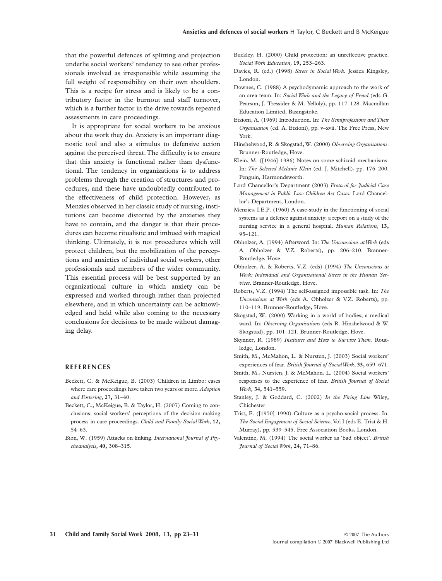that the powerful defences of splitting and projection underlie social workers' tendency to see other professionals involved as irresponsible while assuming the full weight of responsibility on their own shoulders. This is a recipe for stress and is likely to be a contributory factor in the burnout and staff turnover, which is a further factor in the drive towards repeated assessments in care proceedings.

It is appropriate for social workers to be anxious about the work they do. Anxiety is an important diagnostic tool and also a stimulus to defensive action against the perceived threat.The difficulty is to ensure that this anxiety is functional rather than dysfunctional. The tendency in organizations is to address problems through the creation of structures and procedures, and these have undoubtedly contributed to the effectiveness of child protection. However, as Menzies observed in her classic study of nursing, institutions can become distorted by the anxieties they have to contain, and the danger is that their procedures can become ritualistic and imbued with magical thinking. Ultimately, it is not procedures which will protect children, but the mobilization of the perceptions and anxieties of individual social workers, other professionals and members of the wider community. This essential process will be best supported by an organizational culture in which anxiety can be expressed and worked through rather than projected elsewhere, and in which uncertainty can be acknowledged and held while also coming to the necessary conclusions for decisions to be made without damaging delay.

#### **REFERENCES**

- Beckett, C. & McKeigue, B. (2003) Children in Limbo: cases where care proceedings have taken two years or more. *Adoption and Fostering*, **27,** 31–40.
- Beckett, C., McKeigue, B. & Taylor, H. (2007) Coming to conclusions: social workers' perceptions of the decision-making process in care proceedings. *Child and Family SocialWork*, **12,** 54–63.
- Bion, W. (1959) Attacks on linking. *International Journal of Psychoanalysis*, **40,** 308–315.
- Buckley, H. (2000) Child protection: an unreflective practice. *SocialWork Education*, **19,** 253–263.
- Davies, R. (ed.) (1998) *Stress in Social Work.* Jessica Kingsley, London.
- Downes, C. (1988) A psychodymamic approach to the work of an area team. In: *Social Work and the Legacy of Freud* (eds G. Pearson, J. Tressider & M. Yelloly), pp. 117–128. Macmillan Education Limited, Basingstoke.
- Etzioni, A. (1969) Introduction. In: *The Semiprofessions and Their Organisation* (ed. A. Etzioni), pp. v–xvii. The Free Press, New York.
- Hinshelwood, R. & Skogstad, W. (2000) *Observing Organisations*. Brunner-Routledge, Hove.
- Klein, M. ([1946] 1986) Notes on some schizoid mechanisms. In: *The Selected Melanie Klein* (ed. J. Mitchell), pp. 176–200. Penguin, Harmondsworth.
- Lord Chancellor's Department (2003) *Protocol for Judicial Case Management in Public Law Children Act Cases.* Lord Chancellor's Department, London.
- Menzies, I.E.P. (1960) A case-study in the functioning of social systems as a defence against anxiety: a report on a study of the nursing service in a general hospital. *Human Relations*, **13,** 95–121.
- Obholzer, A. (1994) Afterword. In: *The Unconscious atWork* (eds A. Obholzer & V.Z. Roberts), pp. 206–210. Branner-Routledge, Hove.
- Obholzer, A. & Roberts, V.Z. (eds) (1994) *The Unconscious at Work: Individual and Organisational Stress in the Human Services*. Branner-Routledge, Hove.
- Roberts, V.Z. (1994) The self-assigned impossible task. In: *The Unconscious at Work* (eds A. Obholzer & V.Z. Roberts), pp. 110–119. Brunner-Routledge, Hove.
- Skogstad, W. (2000) Working in a world of bodies; a medical ward. In: *Observing Organisations* (eds R. Hinshelwood & W. Skogstad), pp. 101–121. Brunner-Routledge, Hove.
- Skynner, R. (1989) *Institutes and How to Survive Them.* Routledge, London.
- Smith, M., McMahon, L. & Nursten, J. (2003) Social workers' experiences of fear. *British Journal of SocialWork*, **33,** 659–671.
- Smith, M., Nursten, J. & McMahon, L. (2004) Social workers' responses to the experience of fear. *British Journal of Social Work*, **34,** 541–559.
- Stanley, J. & Goddard, C. (2002) *In the Firing Line* Wiley, Chichester.
- Trist, E. ([1950] 1990) Culture as a psycho-social process. In: *The Social Engagement of Social Science*, Vol I (eds E. Trist & H. Murray), pp. 539–545. Free Association Books, London.
- Valentine, M. (1994) The social worker as 'bad object'. *British Journal of SocialWork*, **24,** 71–86.